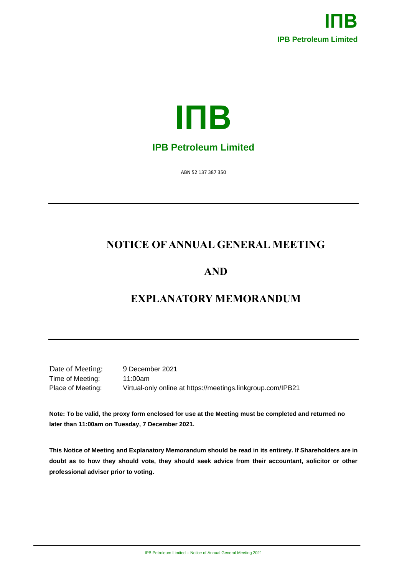



ABN 52 137 387 350

# **NOTICE OF ANNUAL GENERAL MEETING**

# **AND**

# **EXPLANATORY MEMORANDUM**

Date of Meeting: 9 December 2021 Time of Meeting: 11:00am

Place of Meeting: Virtual-only online at https://meetings.linkgroup.com/IPB21

**Note: To be valid, the proxy form enclosed for use at the Meeting must be completed and returned no later than 11:00am on Tuesday, 7 December 2021.**

**This Notice of Meeting and Explanatory Memorandum should be read in its entirety. If Shareholders are in doubt as to how they should vote, they should seek advice from their accountant, solicitor or other professional adviser prior to voting.**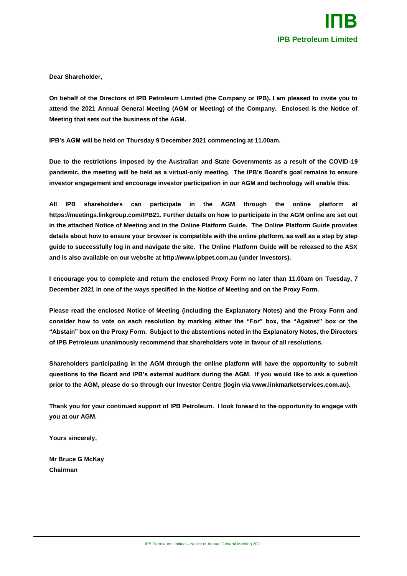**Dear Shareholder,**

**On behalf of the Directors of IPB Petroleum Limited (the Company or IPB), I am pleased to invite you to attend the 2021 Annual General Meeting (AGM or Meeting) of the Company. Enclosed is the Notice of Meeting that sets out the business of the AGM.**

**IPB's AGM will be held on Thursday 9 December 2021 commencing at 11.00am.**

**Due to the restrictions imposed by the Australian and State Governments as a result of the COVID-19 pandemic, the meeting will be held as a virtual-only meeting. The IPB's Board's goal remains to ensure investor engagement and encourage investor participation in our AGM and technology will enable this.**

**All IPB shareholders can participate in the AGM through the online platform at https://meetings.linkgroup.com/IPB21. Further details on how to participate in the AGM online are set out in the attached Notice of Meeting and in the Online Platform Guide. The Online Platform Guide provides details about how to ensure your browser is compatible with the online platform, as well as a step by step guide to successfully log in and navigate the site. The Online Platform Guide will be released to the ASX and is also available on our website at http://www.ipbpet.com.au (under Investors).**

**I encourage you to complete and return the enclosed Proxy Form no later than 11.00am on Tuesday, 7 December 2021 in one of the ways specified in the Notice of Meeting and on the Proxy Form.**

**Please read the enclosed Notice of Meeting (including the Explanatory Notes) and the Proxy Form and consider how to vote on each resolution by marking either the "For" box, the "Against" box or the "Abstain" box on the Proxy Form. Subject to the abstentions noted in the Explanatory Notes, the Directors of IPB Petroleum unanimously recommend that shareholders vote in favour of all resolutions.**

**Shareholders participating in the AGM through the online platform will have the opportunity to submit questions to the Board and IPB's external auditors during the AGM. If you would like to ask a question prior to the AGM, please do so through our Investor Centre (login via www.linkmarketservices.com.au).**

**Thank you for your continued support of IPB Petroleum. I look forward to the opportunity to engage with you at our AGM.**

**Yours sincerely,**

**Mr Bruce G McKay Chairman**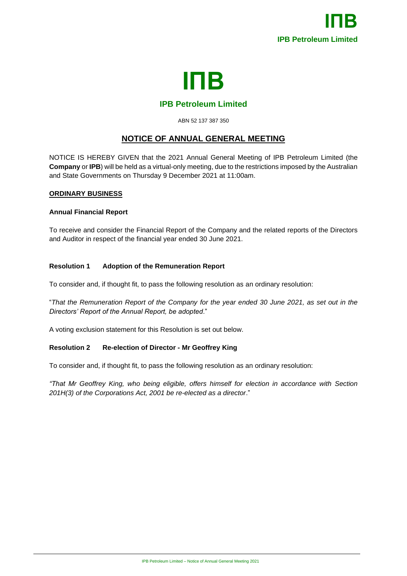

## **IPB Petroleum Limited**

#### ABN 52 137 387 350

# **NOTICE OF ANNUAL GENERAL MEETING**

NOTICE IS HEREBY GIVEN that the 2021 Annual General Meeting of IPB Petroleum Limited (the **Company** or **IPB**) will be held as a virtual-only meeting, due to the restrictions imposed by the Australian and State Governments on Thursday 9 December 2021 at 11:00am.

## **ORDINARY BUSINESS**

## **Annual Financial Report**

To receive and consider the Financial Report of the Company and the related reports of the Directors and Auditor in respect of the financial year ended 30 June 2021.

## **Resolution 1 Adoption of the Remuneration Report**

To consider and, if thought fit, to pass the following resolution as an ordinary resolution:

"*That the Remuneration Report of the Company for the year ended 30 June 2021, as set out in the Directors' Report of the Annual Report, be adopted*."

A voting exclusion statement for this Resolution is set out below.

## **Resolution 2 Re-election of Director - Mr Geoffrey King**

To consider and, if thought fit, to pass the following resolution as an ordinary resolution:

*"That Mr Geoffrey King, who being eligible, offers himself for election in accordance with Section 201H(3) of the Corporations Act, 2001 be re-elected as a director*."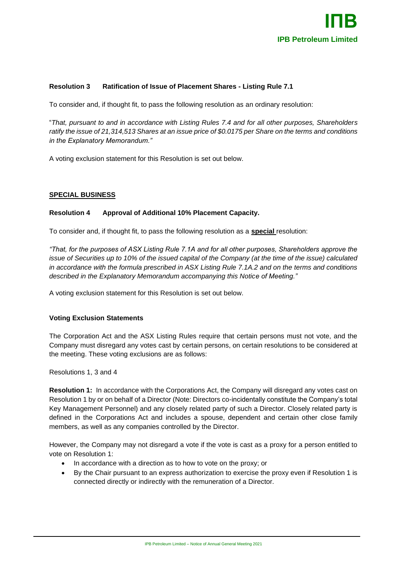

## **Resolution 3 Ratification of Issue of Placement Shares - Listing Rule 7.1**

To consider and, if thought fit, to pass the following resolution as an ordinary resolution:

"*That, pursuant to and in accordance with Listing Rules 7.4 and for all other purposes, Shareholders ratify the issue of 21,314,513 Shares at an issue price of \$0.0175 per Share on the terms and conditions in the Explanatory Memorandum."*

A voting exclusion statement for this Resolution is set out below.

#### **SPECIAL BUSINESS**

#### **Resolution 4 Approval of Additional 10% Placement Capacity.**

To consider and, if thought fit, to pass the following resolution as a **special** resolution:

*"That, for the purposes of ASX Listing Rule 7.1A and for all other purposes, Shareholders approve the issue of Securities up to 10% of the issued capital of the Company (at the time of the issue) calculated in accordance with the formula prescribed in ASX Listing Rule 7.1A.2 and on the terms and conditions described in the Explanatory Memorandum accompanying this Notice of Meeting."*

A voting exclusion statement for this Resolution is set out below.

## **Voting Exclusion Statements**

The Corporation Act and the ASX Listing Rules require that certain persons must not vote, and the Company must disregard any votes cast by certain persons, on certain resolutions to be considered at the meeting. These voting exclusions are as follows:

Resolutions 1, 3 and 4

**Resolution 1:** In accordance with the Corporations Act, the Company will disregard any votes cast on Resolution 1 by or on behalf of a Director (Note: Directors co-incidentally constitute the Company's total Key Management Personnel) and any closely related party of such a Director. Closely related party is defined in the Corporations Act and includes a spouse, dependent and certain other close family members, as well as any companies controlled by the Director.

However, the Company may not disregard a vote if the vote is cast as a proxy for a person entitled to vote on Resolution 1:

- In accordance with a direction as to how to vote on the proxy; or
- By the Chair pursuant to an express authorization to exercise the proxy even if Resolution 1 is connected directly or indirectly with the remuneration of a Director.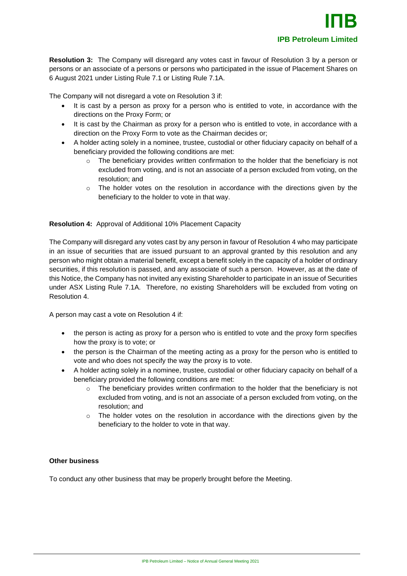**Resolution 3:** The Company will disregard any votes cast in favour of Resolution 3 by a person or persons or an associate of a persons or persons who participated in the issue of Placement Shares on 6 August 2021 under Listing Rule 7.1 or Listing Rule 7.1A.

The Company will not disregard a vote on Resolution 3 if:

- It is cast by a person as proxy for a person who is entitled to vote, in accordance with the directions on the Proxy Form; or
- It is cast by the Chairman as proxy for a person who is entitled to vote, in accordance with a direction on the Proxy Form to vote as the Chairman decides or;
- A holder acting solely in a nominee, trustee, custodial or other fiduciary capacity on behalf of a beneficiary provided the following conditions are met:
	- The beneficiary provides written confirmation to the holder that the beneficiary is not excluded from voting, and is not an associate of a person excluded from voting, on the resolution; and
	- $\circ$  The holder votes on the resolution in accordance with the directions given by the beneficiary to the holder to vote in that way.

## **Resolution 4:** Approval of Additional 10% Placement Capacity

The Company will disregard any votes cast by any person in favour of Resolution 4 who may participate in an issue of securities that are issued pursuant to an approval granted by this resolution and any person who might obtain a material benefit, except a benefit solely in the capacity of a holder of ordinary securities, if this resolution is passed, and any associate of such a person. However, as at the date of this Notice, the Company has not invited any existing Shareholder to participate in an issue of Securities under ASX Listing Rule 7.1A. Therefore, no existing Shareholders will be excluded from voting on Resolution 4.

A person may cast a vote on Resolution 4 if:

- the person is acting as proxy for a person who is entitled to vote and the proxy form specifies how the proxy is to vote; or
- the person is the Chairman of the meeting acting as a proxy for the person who is entitled to vote and who does not specify the way the proxy is to vote.
- A holder acting solely in a nominee, trustee, custodial or other fiduciary capacity on behalf of a beneficiary provided the following conditions are met:
	- $\circ$  The beneficiary provides written confirmation to the holder that the beneficiary is not excluded from voting, and is not an associate of a person excluded from voting, on the resolution; and
	- $\circ$  The holder votes on the resolution in accordance with the directions given by the beneficiary to the holder to vote in that way.

## **Other business**

To conduct any other business that may be properly brought before the Meeting.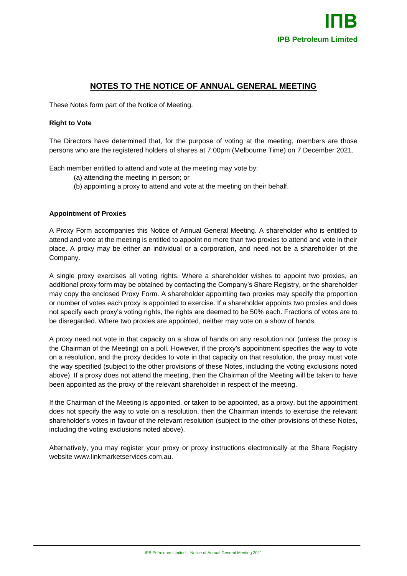# **NOTES TO THE NOTICE OF ANNUAL GENERAL MEETING**

These Notes form part of the Notice of Meeting.

### **Right to Vote**

The Directors have determined that, for the purpose of voting at the meeting, members are those persons who are the registered holders of shares at 7.00pm (Melbourne Time) on 7 December 2021.

Each member entitled to attend and vote at the meeting may vote by:

- (a) attending the meeting in person; or
- (b) appointing a proxy to attend and vote at the meeting on their behalf.

#### **Appointment of Proxies**

A Proxy Form accompanies this Notice of Annual General Meeting. A shareholder who is entitled to attend and vote at the meeting is entitled to appoint no more than two proxies to attend and vote in their place. A proxy may be either an individual or a corporation, and need not be a shareholder of the Company.

A single proxy exercises all voting rights. Where a shareholder wishes to appoint two proxies, an additional proxy form may be obtained by contacting the Company's Share Registry, or the shareholder may copy the enclosed Proxy Form. A shareholder appointing two proxies may specify the proportion or number of votes each proxy is appointed to exercise. If a shareholder appoints two proxies and does not specify each proxy's voting rights, the rights are deemed to be 50% each. Fractions of votes are to be disregarded. Where two proxies are appointed, neither may vote on a show of hands.

A proxy need not vote in that capacity on a show of hands on any resolution nor (unless the proxy is the Chairman of the Meeting) on a poll. However, if the proxy's appointment specifies the way to vote on a resolution, and the proxy decides to vote in that capacity on that resolution, the proxy must vote the way specified (subject to the other provisions of these Notes, including the voting exclusions noted above). If a proxy does not attend the meeting, then the Chairman of the Meeting will be taken to have been appointed as the proxy of the relevant shareholder in respect of the meeting.

If the Chairman of the Meeting is appointed, or taken to be appointed, as a proxy, but the appointment does not specify the way to vote on a resolution, then the Chairman intends to exercise the relevant shareholder's votes in favour of the relevant resolution (subject to the other provisions of these Notes, including the voting exclusions noted above).

Alternatively, you may register your proxy or proxy instructions electronically at the Share Registry website www.linkmarketservices.com.au.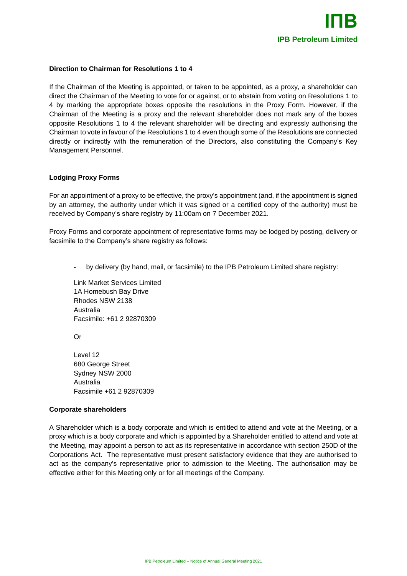

#### **Direction to Chairman for Resolutions 1 to 4**

If the Chairman of the Meeting is appointed, or taken to be appointed, as a proxy, a shareholder can direct the Chairman of the Meeting to vote for or against, or to abstain from voting on Resolutions 1 to 4 by marking the appropriate boxes opposite the resolutions in the Proxy Form. However, if the Chairman of the Meeting is a proxy and the relevant shareholder does not mark any of the boxes opposite Resolutions 1 to 4 the relevant shareholder will be directing and expressly authorising the Chairman to vote in favour of the Resolutions 1 to 4 even though some of the Resolutions are connected directly or indirectly with the remuneration of the Directors, also constituting the Company's Key Management Personnel.

#### **Lodging Proxy Forms**

For an appointment of a proxy to be effective, the proxy's appointment (and, if the appointment is signed by an attorney, the authority under which it was signed or a certified copy of the authority) must be received by Company's share registry by 11:00am on 7 December 2021.

Proxy Forms and corporate appointment of representative forms may be lodged by posting, delivery or facsimile to the Company's share registry as follows:

by delivery (by hand, mail, or facsimile) to the IPB Petroleum Limited share registry:

Link Market Services Limited 1A Homebush Bay Drive Rhodes NSW 2138 Australia Facsimile: +61 2 92870309

Or

Level 12 680 George Street Sydney NSW 2000 Australia Facsimile +61 2 92870309

#### **Corporate shareholders**

A Shareholder which is a body corporate and which is entitled to attend and vote at the Meeting, or a proxy which is a body corporate and which is appointed by a Shareholder entitled to attend and vote at the Meeting, may appoint a person to act as its representative in accordance with section 250D of the Corporations Act. The representative must present satisfactory evidence that they are authorised to act as the company's representative prior to admission to the Meeting. The authorisation may be effective either for this Meeting only or for all meetings of the Company.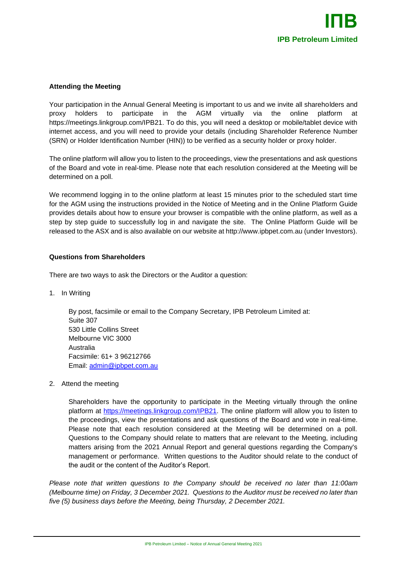## **Attending the Meeting**

Your participation in the Annual General Meeting is important to us and we invite all shareholders and proxy holders to participate in the AGM virtually via the online platform at https://meetings.linkgroup.com/IPB21. To do this, you will need a desktop or mobile/tablet device with internet access, and you will need to provide your details (including Shareholder Reference Number (SRN) or Holder Identification Number (HIN)) to be verified as a security holder or proxy holder.

The online platform will allow you to listen to the proceedings, view the presentations and ask questions of the Board and vote in real-time. Please note that each resolution considered at the Meeting will be determined on a poll.

We recommend logging in to the online platform at least 15 minutes prior to the scheduled start time for the AGM using the instructions provided in the Notice of Meeting and in the Online Platform Guide provides details about how to ensure your browser is compatible with the online platform, as well as a step by step guide to successfully log in and navigate the site. The Online Platform Guide will be released to the ASX and is also available on our website at http://www.ipbpet.com.au (under Investors).

## **Questions from Shareholders**

There are two ways to ask the Directors or the Auditor a question:

1. In Writing

By post, facsimile or email to the Company Secretary, IPB Petroleum Limited at: Suite 307 530 Little Collins Street Melbourne VIC 3000 Australia Facsimile: 61+ 3 96212766 Email: [admin@ipbpet.com.au](mailto:admin@ipbpet.com.au)

2. Attend the meeting

Shareholders have the opportunity to participate in the Meeting virtually through the online platform at [https://meetings.linkgroup.com/IPB21.](https://agmlive.link/IPB21) The online platform will allow you to listen to the proceedings, view the presentations and ask questions of the Board and vote in real-time. Please note that each resolution considered at the Meeting will be determined on a poll. Questions to the Company should relate to matters that are relevant to the Meeting, including matters arising from the 2021 Annual Report and general questions regarding the Company's management or performance. Written questions to the Auditor should relate to the conduct of the audit or the content of the Auditor's Report.

*Please note that written questions to the Company should be received no later than 11:00am (Melbourne time) on Friday, 3 December 2021. Questions to the Auditor must be received no later than five (5) business days before the Meeting, being Thursday, 2 December 2021.*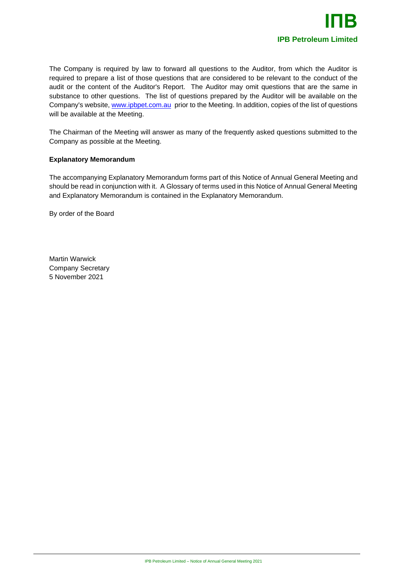

The Company is required by law to forward all questions to the Auditor, from which the Auditor is required to prepare a list of those questions that are considered to be relevant to the conduct of the audit or the content of the Auditor's Report. The Auditor may omit questions that are the same in substance to other questions. The list of questions prepared by the Auditor will be available on the Company's website, [www.ipbpet.com.au](http://www.ipbpet.com.au/) prior to the Meeting. In addition, copies of the list of questions will be available at the Meeting.

The Chairman of the Meeting will answer as many of the frequently asked questions submitted to the Company as possible at the Meeting.

#### **Explanatory Memorandum**

The accompanying Explanatory Memorandum forms part of this Notice of Annual General Meeting and should be read in conjunction with it. A Glossary of terms used in this Notice of Annual General Meeting and Explanatory Memorandum is contained in the Explanatory Memorandum.

By order of the Board

Martin Warwick Company Secretary 5 November 2021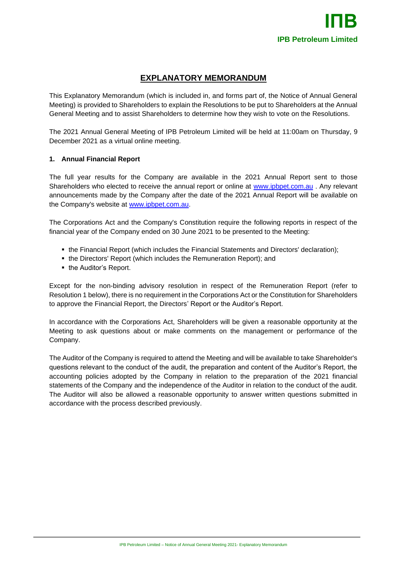# **EXPLANATORY MEMORANDUM**

This Explanatory Memorandum (which is included in, and forms part of, the Notice of Annual General Meeting) is provided to Shareholders to explain the Resolutions to be put to Shareholders at the Annual General Meeting and to assist Shareholders to determine how they wish to vote on the Resolutions.

The 2021 Annual General Meeting of IPB Petroleum Limited will be held at 11:00am on Thursday, 9 December 2021 as a virtual online meeting.

## **1. Annual Financial Report**

The full year results for the Company are available in the 2021 Annual Report sent to those Shareholders who elected to receive the annual report or online at [www.ipbpet.com.au](http://www.ipbpet.com.au/) . Any relevant announcements made by the Company after the date of the 2021 Annual Report will be available on the Company's website at [www.ipbpet.com.au.](http://www.ipbpet.com.au/)

The Corporations Act and the Company's Constitution require the following reports in respect of the financial year of the Company ended on 30 June 2021 to be presented to the Meeting:

- the Financial Report (which includes the Financial Statements and Directors' declaration);
- the Directors' Report (which includes the Remuneration Report); and
- the Auditor's Report.

Except for the non-binding advisory resolution in respect of the Remuneration Report (refer to Resolution 1 below), there is no requirement in the Corporations Act or the Constitution for Shareholders to approve the Financial Report, the Directors' Report or the Auditor's Report.

In accordance with the Corporations Act, Shareholders will be given a reasonable opportunity at the Meeting to ask questions about or make comments on the management or performance of the Company.

The Auditor of the Company is required to attend the Meeting and will be available to take Shareholder's questions relevant to the conduct of the audit, the preparation and content of the Auditor's Report, the accounting policies adopted by the Company in relation to the preparation of the 2021 financial statements of the Company and the independence of the Auditor in relation to the conduct of the audit. The Auditor will also be allowed a reasonable opportunity to answer written questions submitted in accordance with the process described previously.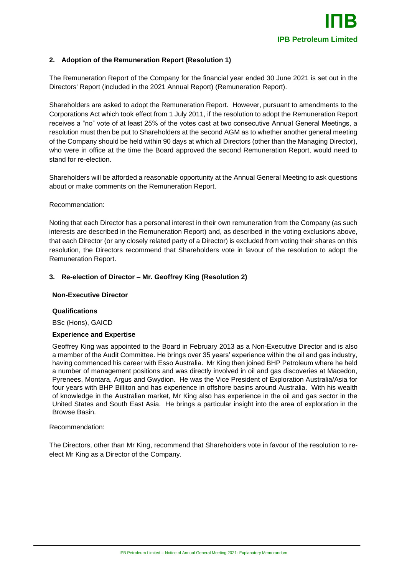### **2. Adoption of the Remuneration Report (Resolution 1)**

The Remuneration Report of the Company for the financial year ended 30 June 2021 is set out in the Directors' Report (included in the 2021 Annual Report) (Remuneration Report).

Shareholders are asked to adopt the Remuneration Report. However, pursuant to amendments to the Corporations Act which took effect from 1 July 2011, if the resolution to adopt the Remuneration Report receives a "no" vote of at least 25% of the votes cast at two consecutive Annual General Meetings, a resolution must then be put to Shareholders at the second AGM as to whether another general meeting of the Company should be held within 90 days at which all Directors (other than the Managing Director), who were in office at the time the Board approved the second Remuneration Report, would need to stand for re-election.

Shareholders will be afforded a reasonable opportunity at the Annual General Meeting to ask questions about or make comments on the Remuneration Report.

#### Recommendation:

Noting that each Director has a personal interest in their own remuneration from the Company (as such interests are described in the Remuneration Report) and, as described in the voting exclusions above, that each Director (or any closely related party of a Director) is excluded from voting their shares on this resolution, the Directors recommend that Shareholders vote in favour of the resolution to adopt the Remuneration Report.

#### **3. Re-election of Director – Mr. Geoffrey King (Resolution 2)**

#### **Non-Executive Director**

#### **Qualifications**

BSc (Hons), GAICD

#### **Experience and Expertise**

Geoffrey King was appointed to the Board in February 2013 as a Non-Executive Director and is also a member of the Audit Committee. He brings over 35 years' experience within the oil and gas industry, having commenced his career with Esso Australia. Mr King then joined BHP Petroleum where he held a number of management positions and was directly involved in oil and gas discoveries at Macedon, Pyrenees, Montara, Argus and Gwydion. He was the Vice President of Exploration Australia/Asia for four years with BHP Billiton and has experience in offshore basins around Australia. With his wealth of knowledge in the Australian market, Mr King also has experience in the oil and gas sector in the United States and South East Asia. He brings a particular insight into the area of exploration in the Browse Basin.

#### Recommendation:

The Directors, other than Mr King, recommend that Shareholders vote in favour of the resolution to reelect Mr King as a Director of the Company.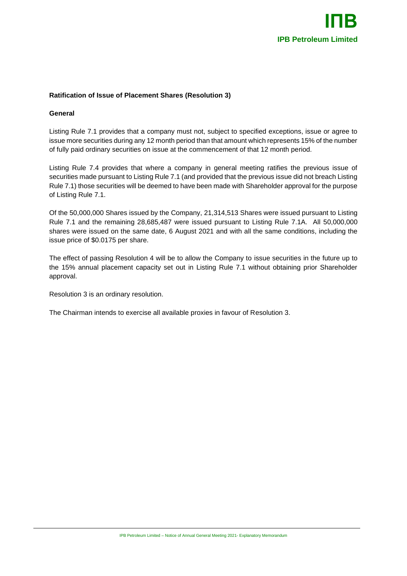

## **Ratification of Issue of Placement Shares (Resolution 3)**

#### **General**

Listing Rule 7.1 provides that a company must not, subject to specified exceptions, issue or agree to issue more securities during any 12 month period than that amount which represents 15% of the number of fully paid ordinary securities on issue at the commencement of that 12 month period.

Listing Rule 7.4 provides that where a company in general meeting ratifies the previous issue of securities made pursuant to Listing Rule 7.1 (and provided that the previous issue did not breach Listing Rule 7.1) those securities will be deemed to have been made with Shareholder approval for the purpose of Listing Rule 7.1.

Of the 50,000,000 Shares issued by the Company, 21,314,513 Shares were issued pursuant to Listing Rule 7.1 and the remaining 28,685,487 were issued pursuant to Listing Rule 7.1A. All 50,000,000 shares were issued on the same date, 6 August 2021 and with all the same conditions, including the issue price of \$0.0175 per share.

The effect of passing Resolution 4 will be to allow the Company to issue securities in the future up to the 15% annual placement capacity set out in Listing Rule 7.1 without obtaining prior Shareholder approval.

Resolution 3 is an ordinary resolution.

The Chairman intends to exercise all available proxies in favour of Resolution 3.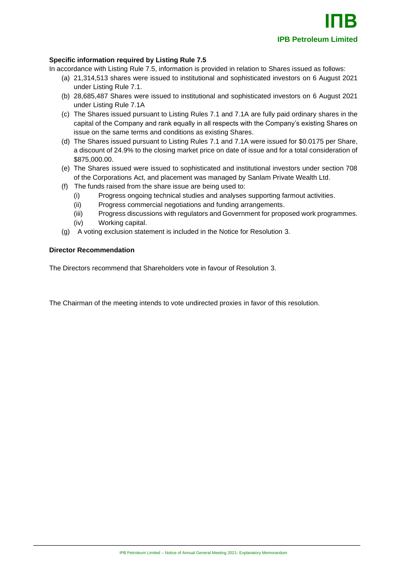## **Specific information required by Listing Rule 7.5**

In accordance with Listing Rule 7.5, information is provided in relation to Shares issued as follows:

- (a) 21,314,513 shares were issued to institutional and sophisticated investors on 6 August 2021 under Listing Rule 7.1.
- (b) 28,685,487 Shares were issued to institutional and sophisticated investors on 6 August 2021 under Listing Rule 7.1A
- (c) The Shares issued pursuant to Listing Rules 7.1 and 7.1A are fully paid ordinary shares in the capital of the Company and rank equally in all respects with the Company's existing Shares on issue on the same terms and conditions as existing Shares.
- (d) The Shares issued pursuant to Listing Rules 7.1 and 7.1A were issued for \$0.0175 per Share, a discount of 24.9% to the closing market price on date of issue and for a total consideration of \$875,000.00.
- (e) The Shares issued were issued to sophisticated and institutional investors under section 708 of the Corporations Act, and placement was managed by Sanlam Private Wealth Ltd.
- (f) The funds raised from the share issue are being used to:
	- (i) Progress ongoing technical studies and analyses supporting farmout activities.
	- (ii) Progress commercial negotiations and funding arrangements.
	- (iii) Progress discussions with regulators and Government for proposed work programmes.
	- (iv) Working capital.
- (g) A voting exclusion statement is included in the Notice for Resolution 3.

#### **Director Recommendation**

The Directors recommend that Shareholders vote in favour of Resolution 3.

The Chairman of the meeting intends to vote undirected proxies in favor of this resolution.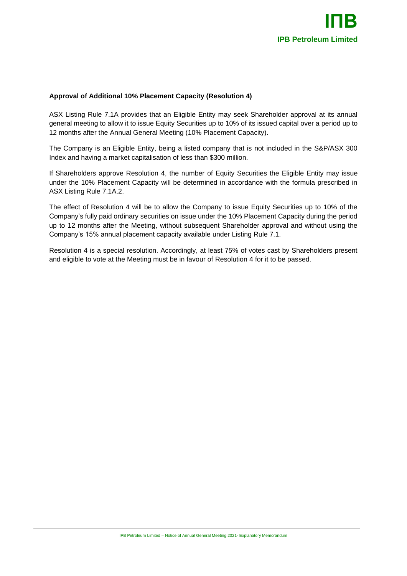## **Approval of Additional 10% Placement Capacity (Resolution 4)**

ASX Listing Rule 7.1A provides that an Eligible Entity may seek Shareholder approval at its annual general meeting to allow it to issue Equity Securities up to 10% of its issued capital over a period up to 12 months after the Annual General Meeting (10% Placement Capacity).

The Company is an Eligible Entity, being a listed company that is not included in the S&P/ASX 300 Index and having a market capitalisation of less than \$300 million.

If Shareholders approve Resolution 4, the number of Equity Securities the Eligible Entity may issue under the 10% Placement Capacity will be determined in accordance with the formula prescribed in ASX Listing Rule 7.1A.2.

The effect of Resolution 4 will be to allow the Company to issue Equity Securities up to 10% of the Company's fully paid ordinary securities on issue under the 10% Placement Capacity during the period up to 12 months after the Meeting, without subsequent Shareholder approval and without using the Company's 15% annual placement capacity available under Listing Rule 7.1.

Resolution 4 is a special resolution. Accordingly, at least 75% of votes cast by Shareholders present and eligible to vote at the Meeting must be in favour of Resolution 4 for it to be passed.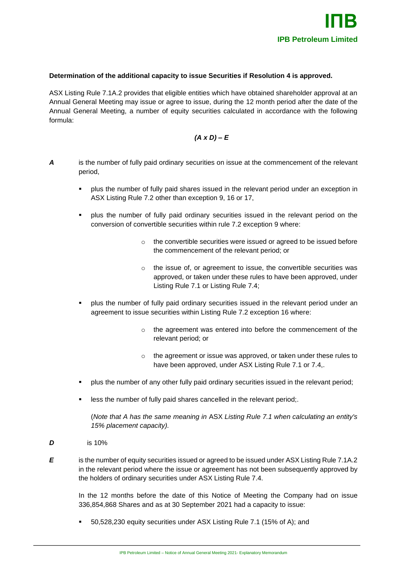#### **Determination of the additional capacity to issue Securities if Resolution 4 is approved.**

ASX Listing Rule 7.1A.2 provides that eligible entities which have obtained shareholder approval at an Annual General Meeting may issue or agree to issue, during the 12 month period after the date of the Annual General Meeting, a number of equity securities calculated in accordance with the following formula:

## *(A x D) – E*

- *A* is the number of fully paid ordinary securities on issue at the commencement of the relevant period,
	- plus the number of fully paid shares issued in the relevant period under an exception in ASX Listing Rule 7.2 other than exception 9, 16 or 17,
	- plus the number of fully paid ordinary securities issued in the relevant period on the conversion of convertible securities within rule 7.2 exception 9 where:
		- o the convertible securities were issued or agreed to be issued before the commencement of the relevant period; or
		- o the issue of, or agreement to issue, the convertible securities was approved, or taken under these rules to have been approved, under Listing Rule 7.1 or Listing Rule 7.4;
	- plus the number of fully paid ordinary securities issued in the relevant period under an agreement to issue securities within Listing Rule 7.2 exception 16 where:
		- o the agreement was entered into before the commencement of the relevant period; or
		- o the agreement or issue was approved, or taken under these rules to have been approved, under ASX Listing Rule 7.1 or 7.4,.
	- plus the number of any other fully paid ordinary securities issued in the relevant period;
	- less the number of fully paid shares cancelled in the relevant period;.

(*Note that A has the same meaning in* ASX *Listing Rule 7.1 when calculating an entity's 15% placement capacity).*

- *D* is 10%
- 

*E* is the number of equity securities issued or agreed to be issued under ASX Listing Rule 7.1A.2 in the relevant period where the issue or agreement has not been subsequently approved by the holders of ordinary securities under ASX Listing Rule 7.4.

In the 12 months before the date of this Notice of Meeting the Company had on issue 336,854,868 Shares and as at 30 September 2021 had a capacity to issue:

50,528,230 equity securities under ASX Listing Rule 7.1 (15% of A); and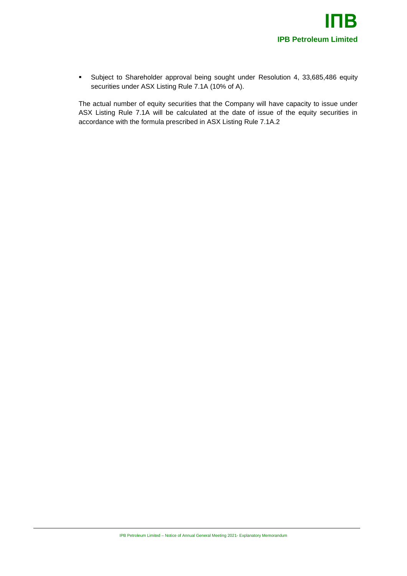

▪ Subject to Shareholder approval being sought under Resolution 4, 33,685,486 equity securities under ASX Listing Rule 7.1A (10% of A).

The actual number of equity securities that the Company will have capacity to issue under ASX Listing Rule 7.1A will be calculated at the date of issue of the equity securities in accordance with the formula prescribed in ASX Listing Rule 7.1A.2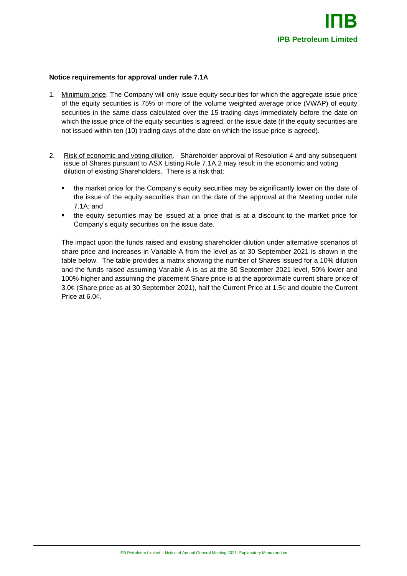#### **Notice requirements for approval under rule 7.1A**

- 1. Minimum price. The Company will only issue equity securities for which the aggregate issue price of the equity securities is 75% or more of the volume weighted average price (VWAP) of equity securities in the same class calculated over the 15 trading days immediately before the date on which the issue price of the equity securities is agreed, or the issue date (if the equity securities are not issued within ten (10) trading days of the date on which the issue price is agreed).
- 2. Risk of economic and voting dilution. Shareholder approval of Resolution 4 and any subsequent issue of Shares pursuant to ASX Listing Rule 7.1A.2 may result in the economic and voting dilution of existing Shareholders. There is a risk that:
	- the market price for the Company's equity securities may be significantly lower on the date of the issue of the equity securities than on the date of the approval at the Meeting under rule 7.1A; and
	- the equity securities may be issued at a price that is at a discount to the market price for Company's equity securities on the issue date.

The impact upon the funds raised and existing shareholder dilution under alternative scenarios of share price and increases in Variable A from the level as at 30 September 2021 is shown in the table below. The table provides a matrix showing the number of Shares issued for a 10% dilution and the funds raised assuming Variable A is as at the 30 September 2021 level, 50% lower and 100% higher and assuming the placement Share price is at the approximate current share price of 3.0¢ (Share price as at 30 September 2021), half the Current Price at 1.5¢ and double the Current Price at 6.0¢.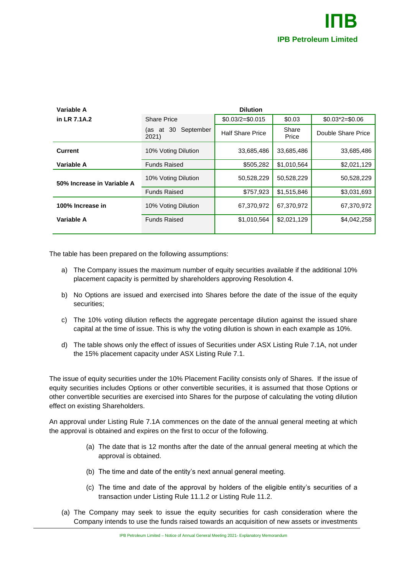| Variable A                 | <b>Dilution</b>                    |                         |                |                    |
|----------------------------|------------------------------------|-------------------------|----------------|--------------------|
| in LR 7.1A.2               | <b>Share Price</b>                 | $$0.03/2 = $0.015$      | \$0.03         | $$0.03^*2 = $0.06$ |
|                            | 30<br>September<br>(as at<br>2021) | <b>Half Share Price</b> | Share<br>Price | Double Share Price |
| <b>Current</b>             | 10% Voting Dilution                | 33,685,486              | 33,685,486     | 33,685,486         |
| Variable A                 | <b>Funds Raised</b>                | \$505,282               | \$1,010,564    | \$2,021,129        |
| 50% Increase in Variable A | 10% Voting Dilution                | 50,528,229              | 50,528,229     | 50,528,229         |
|                            | <b>Funds Raised</b>                | \$757,923               | \$1,515,846    | \$3,031,693        |
| 100% Increase in           | 10% Voting Dilution                | 67,370,972              | 67.370.972     | 67,370,972         |
| Variable A                 | <b>Funds Raised</b>                | \$1,010,564             | \$2,021,129    | \$4,042,258        |
|                            |                                    |                         |                |                    |

The table has been prepared on the following assumptions:

- a) The Company issues the maximum number of equity securities available if the additional 10% placement capacity is permitted by shareholders approving Resolution 4.
- b) No Options are issued and exercised into Shares before the date of the issue of the equity securities;
- c) The 10% voting dilution reflects the aggregate percentage dilution against the issued share capital at the time of issue. This is why the voting dilution is shown in each example as 10%.
- d) The table shows only the effect of issues of Securities under ASX Listing Rule 7.1A, not under the 15% placement capacity under ASX Listing Rule 7.1.

The issue of equity securities under the 10% Placement Facility consists only of Shares. If the issue of equity securities includes Options or other convertible securities, it is assumed that those Options or other convertible securities are exercised into Shares for the purpose of calculating the voting dilution effect on existing Shareholders.

An approval under Listing Rule 7.1A commences on the date of the annual general meeting at which the approval is obtained and expires on the first to occur of the following.

- (a) The date that is 12 months after the date of the annual general meeting at which the approval is obtained.
- (b) The time and date of the entity's next annual general meeting.
- (c) The time and date of the approval by holders of the eligible entity's securities of a transaction under Listing Rule 11.1.2 or Listing Rule 11.2.
- (a) The Company may seek to issue the equity securities for cash consideration where the Company intends to use the funds raised towards an acquisition of new assets or investments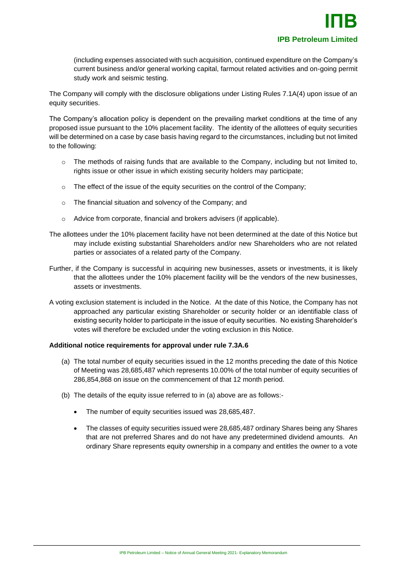(including expenses associated with such acquisition, continued expenditure on the Company's current business and/or general working capital, farmout related activities and on-going permit study work and seismic testing.

The Company will comply with the disclosure obligations under Listing Rules 7.1A(4) upon issue of an equity securities.

The Company's allocation policy is dependent on the prevailing market conditions at the time of any proposed issue pursuant to the 10% placement facility. The identity of the allottees of equity securities will be determined on a case by case basis having regard to the circumstances, including but not limited to the following:

- $\circ$  The methods of raising funds that are available to the Company, including but not limited to, rights issue or other issue in which existing security holders may participate;
- o The effect of the issue of the equity securities on the control of the Company;
- o The financial situation and solvency of the Company; and
- o Advice from corporate, financial and brokers advisers (if applicable).
- The allottees under the 10% placement facility have not been determined at the date of this Notice but may include existing substantial Shareholders and/or new Shareholders who are not related parties or associates of a related party of the Company.
- Further, if the Company is successful in acquiring new businesses, assets or investments, it is likely that the allottees under the 10% placement facility will be the vendors of the new businesses, assets or investments.
- A voting exclusion statement is included in the Notice. At the date of this Notice, the Company has not approached any particular existing Shareholder or security holder or an identifiable class of existing security holder to participate in the issue of equity securities. No existing Shareholder's votes will therefore be excluded under the voting exclusion in this Notice.

#### **Additional notice requirements for approval under rule 7.3A.6**

- (a) The total number of equity securities issued in the 12 months preceding the date of this Notice of Meeting was 28,685,487 which represents 10.00% of the total number of equity securities of 286,854,868 on issue on the commencement of that 12 month period.
- (b) The details of the equity issue referred to in (a) above are as follows:-
	- The number of equity securities issued was 28,685,487.
	- The classes of equity securities issued were 28,685,487 ordinary Shares being any Shares that are not preferred Shares and do not have any predetermined dividend amounts. An ordinary Share represents equity ownership in a company and entitles the owner to a vote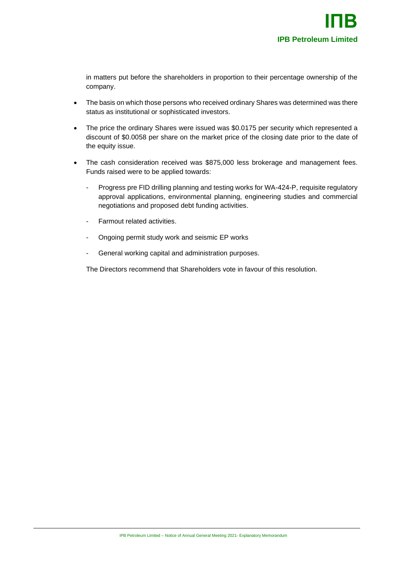in matters put before the shareholders in proportion to their percentage ownership of the company.

- The basis on which those persons who received ordinary Shares was determined was there status as institutional or sophisticated investors.
- The price the ordinary Shares were issued was \$0.0175 per security which represented a discount of \$0.0058 per share on the market price of the closing date prior to the date of the equity issue.
- The cash consideration received was \$875,000 less brokerage and management fees. Funds raised were to be applied towards:
	- Progress pre FID drilling planning and testing works for WA-424-P, requisite regulatory approval applications, environmental planning, engineering studies and commercial negotiations and proposed debt funding activities.
	- Farmout related activities.
	- Ongoing permit study work and seismic EP works
	- General working capital and administration purposes.

The Directors recommend that Shareholders vote in favour of this resolution.